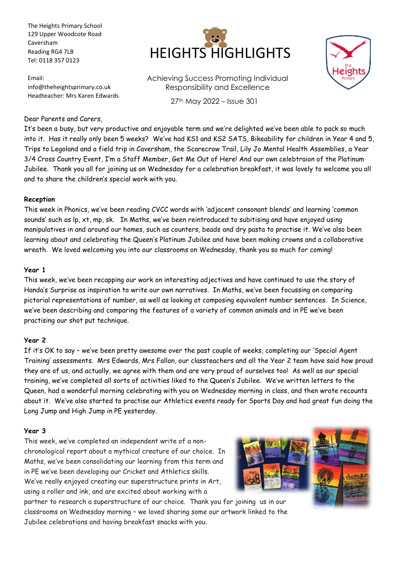The Heights Primary School 129 Upper Woodcote Road Caversham Reading RG4 7LB Tel: 0118 357 0123

Email: info@theheightsprimary.co.uk Headteacher: Mrs Karen Edwards



Achieving Success Promoting Individual Responsibility and Excellence 27th May 2022 – Issue 301



#### Dear Parents and Carers,

It's been a busy, but very productive and enjoyable term and we're delighted we've been able to pack so much into it. Has it really only been 5 weeks? We've had KS1 and KS2 SATS, Bikeability for children in Year 4 and 5, Trips to Legoland and a field trip in Caversham, the Scarecrow Trail, Lily Jo Mental Health Assemblies, a Year 3/4 Cross Country Event, I'm a Staff Member, Get Me Out of Here! And our own celebtraion of the Platinum Jubilee. Thank you all for joining us on Wednesday for a celebration breakfast, it was lovely to welcome you all and to share the children's special work with you.

#### **Reception**

This week in Phonics, we've been reading CVCC words with 'adjacent consonant blends' and learning 'common sounds' such as lp, xt, mp, sk. In Maths, we've been reintroduced to subitising and have enjoyed using manipulatives in and around our homes, such as counters, beads and dry pasta to practise it. We've also been learning about and celebrating the Queen's Platinum Jubilee and have been making crowns and a collaborative wreath. We loved welcoming you into our classrooms on Wednesday, thank you so much for coming!

#### **Year 1**

This week, we've been recapping our work on interesting adjectives and have continued to use the story of Handa's Surprise as inspiration to write our own narratives. In Maths, we've been focussing on comparing pictorial representations of number, as well as looking at composing equivalent number sentences. In Science, we've been describing and comparing the features of a variety of common animals and in PE we've been practising our shot put technique.

#### **Year 2**

If it's OK to say – we've been pretty awesome over the past couple of weeks, completing our 'Special Agent Training' assessments. Mrs Edwards, Mrs Fallon, our classteachers and all the Year 2 team have said how proud they are of us, and actually, we agree with them and are very proud of ourselves too! As well as our special training, we've completed all sorts of activities liked to the Queen's Jubilee. We've written letters to the Queen, had a wonderful morning celebrating with you on Wednesday morning in class, and then wrote recounts about it. We've also started to practise our Athletics events ready for Sports Day and had great fun doing the Long Jump and High Jump in PE yesterday.

#### **Year 3**

This week, we've completed an independent write of a nonchronological report about a mythical creature of our choice. In Maths, we've been consolidating our learning from this term and in PE we've been developing our Cricket and Athletics skills. We've really enjoyed creating our superstructure prints in Art, using a roller and ink, and are excited about working with a



partner to research a superstructure of our choice. Thank you for joining us in our classrooms on Wednesday morning – we loved sharing some our artwork linked to the Jubilee celebrations and having breakfast snacks with you.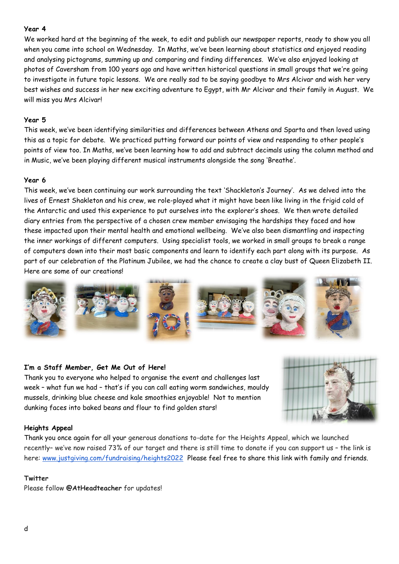## **Year 4**

We worked hard at the beginning of the week, to edit and publish our newspaper reports, ready to show you all when you came into school on Wednesday. In Maths, we've been learning about statistics and enjoyed reading and analysing pictograms, summing up and comparing and finding differences. We've also enjoyed looking at photos of Caversham from 100 years ago and have written historical questions in small groups that we're going to investigate in future topic lessons. We are really sad to be saying goodbye to Mrs Alcivar and wish her very best wishes and success in her new exciting adventure to Egypt, with Mr Alcivar and their family in August. We will miss you Mrs Alcivar!

## **Year 5**

This week, we've been identifying similarities and differences between Athens and Sparta and then loved using this as a topic for debate. We practiced putting forward our points of view and responding to other people's points of view too. In Maths, we've been learning how to add and subtract decimals using the column method and in Music, we've been playing different musical instruments alongside the song 'Breathe'.

## **Year 6**

This week, we've been continuing our work surrounding the text 'Shackleton's Journey'. As we delved into the lives of Ernest Shakleton and his crew, we role-played what it might have been like living in the frigid cold of the Antarctic and used this experience to put ourselves into the explorer's shoes. We then wrote detailed diary entries from the perspective of a chosen crew member envisaging the hardships they faced and how these impacted upon their mental health and emotional wellbeing. We've also been dismantling and inspecting the inner workings of different computers. Using specialist tools, we worked in small groups to break a range of computers down into their most basic components and learn to identify each part along with its purpose. As part of our celebration of the Platinum Jubilee, we had the chance to create a clay bust of Queen Elizabeth II. Here are some of our creations!



## **I'm a Staff Member, Get Me Out of Here!**

Thank you to everyone who helped to organise the event and challenges last week – what fun we had – that's if you can call eating worm sandwiches, mouldy mussels, drinking blue cheese and kale smoothies enjoyable! Not to mention dunking faces into baked beans and flour to find golden stars!



## **Heights Appeal**

Thank you once again for all your generous donations to-date for the Heights Appeal, which we launched recently– we've now raised 73% of our target and there is still time to donate if you can support us – the link is here: [www.justgiving.com/fundraising/heights2022](https://www.justgiving.com/fundraising/heights2022) Please feel free to share this link with family and friends.

## **Twitter**

Please follow **@AtHeadteacher** for updates!